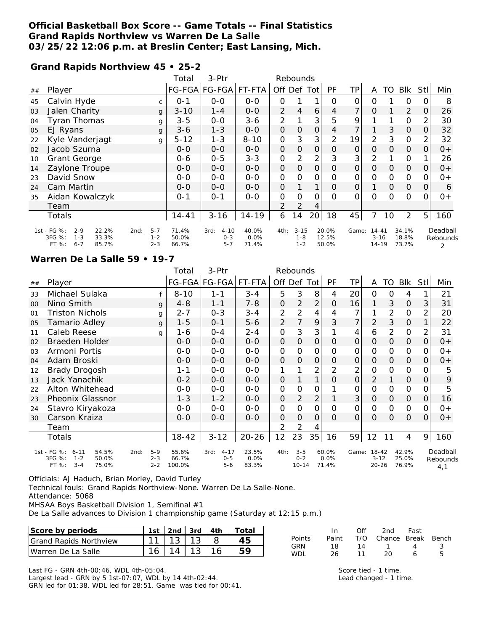## **Official Basketball Box Score -- Game Totals -- Final Statistics Grand Rapids Northview vs Warren De La Salle 03/25/22 12:06 p.m. at Breslin Center; East Lansing, Mich.**

**Grand Rapids Northview 45 • 25-2**

|    |                                                                                                    |                               | Total                   | 3-Ptr                                  |                        |                | Rebounds                       |                 |                         |                |                                    |                |                         |                |                      |
|----|----------------------------------------------------------------------------------------------------|-------------------------------|-------------------------|----------------------------------------|------------------------|----------------|--------------------------------|-----------------|-------------------------|----------------|------------------------------------|----------------|-------------------------|----------------|----------------------|
| ## | Player                                                                                             |                               |                         | FG-FGA FG-FGA                          | FT-FTA                 | Off Def        |                                | Tot             | <b>PF</b>               | TP             | A                                  | TO             | <b>BIK</b>              | <b>StI</b>     | Min                  |
| 45 | Calvin Hyde                                                                                        | $\mathsf{C}$                  | $O - 1$                 | $0-0$                                  | $0-0$                  | 0              |                                |                 | 0                       | 0              | $\Omega$                           |                | 0                       | 0              | 8                    |
| 03 | Jalen Charity                                                                                      | g                             | $3 - 10$                | $1 - 4$                                | $0 - 0$                | 2              | 4                              | 6               | 4                       | 7              | $\mathcal{O}$                      |                | 2                       | $\overline{O}$ | 26                   |
| 04 | <b>Tyran Thomas</b>                                                                                | g                             | $3 - 5$                 | $0 - 0$                                | $3-6$                  | 2              |                                | 3               | 5                       | 9              |                                    |                | 0                       | 2              | 30                   |
| 05 | EJ Ryans                                                                                           | g                             | $3 - 6$                 | $1 - 3$                                | $0 - 0$                | O              | $\mathcal{O}$                  | 0               | 4                       | 7              |                                    | 3              | $\mathcal{O}$           | $\overline{O}$ | 32                   |
| 22 | Kyle Vanderjagt                                                                                    | g                             | $5 - 12$                | $1 - 3$                                | $8 - 10$               | $\mathbf 0$    | 3                              | 3               | 2                       | 19             | 2                                  | 3              | 0                       | 2              | 32                   |
| 02 | Jacob Szurna                                                                                       |                               | $O - O$                 | $0 - 0$                                | $0 - 0$                | $\mathcal{O}$  | $\mathcal{O}$                  | 0               | $\Omega$                | $\mathsf{O}$   | $\mathcal{O}$                      | $\mathcal{O}$  | $\mathbf 0$             | 0              | $0+$                 |
| 10 | <b>Grant George</b>                                                                                |                               | 0-6                     | $0 - 5$                                | $3 - 3$                | 0              | 2                              | $\overline{2}$  | 3                       | 3              | $\overline{2}$                     |                | $\mathsf{O}$            |                | 26                   |
| 14 | Zaylone Troupe                                                                                     |                               | $0 - 0$                 | $0 - 0$                                | $0-0$                  | $\mathbf{O}$   | $\mathcal{O}$                  | 0               | $\overline{O}$          | $\overline{O}$ | $\mathcal{O}$                      | $\overline{O}$ | $\mathcal{O}$           | <sup>O</sup>   | $0+$                 |
| 23 | David Snow                                                                                         |                               | $O - O$                 | $O-O$                                  | $0 - 0$                | $\mathbf 0$    | O                              | 0               | 0                       | 0              | $\overline{0}$                     | $\mathbf{O}$   | 0                       | 0              | $0+$                 |
| 24 | Cam Martin                                                                                         |                               | $0 - 0$                 | $0 - 0$                                | $0 - 0$                | $\mathcal{O}$  |                                | 1               | $\Omega$                | $\overline{O}$ |                                    | $\mathcal{O}$  | $\mathbf 0$             | $\overline{O}$ | 6                    |
| 35 | Aidan Kowalczyk                                                                                    |                               | $0 - 1$                 | $0 - 1$                                | $O - O$                | $\mathcal{O}$  | $\Omega$                       | 0               | $\Omega$                | $\Omega$       | $\Omega$                           | $\Omega$       | $\mathbf 0$             | $\Omega$       | $0+$                 |
|    | Team                                                                                               |                               |                         |                                        |                        | $\overline{2}$ | $\overline{2}$                 | 4               |                         |                |                                    |                |                         |                |                      |
|    | Totals                                                                                             |                               | $14 - 41$               | $3 - 16$                               | 14-19                  | 6              | 14                             | 20 <sub>l</sub> | 18                      | 45             | 7                                  | 10             | 2                       | 5 <sup>1</sup> | 160                  |
|    | 1st - FG %:<br>$2 - 9$<br>22.2%<br>2nd:<br>3FG %:<br>33.3%<br>$1 - 3$<br>FT %:<br>$6 - 7$<br>85.7% | $5 - 7$<br>$1 - 2$<br>$2 - 3$ | 71.4%<br>50.0%<br>66.7% | $4 - 10$<br>3rd:<br>$0 - 3$<br>$5 - 7$ | 40.0%<br>0.0%<br>71.4% | 4th:           | $3 - 15$<br>$1 - 8$<br>$1 - 2$ |                 | 20.0%<br>12.5%<br>50.0% | Game:          | $14 - 41$<br>$3 - 16$<br>$14 - 19$ |                | 34.1%<br>18.8%<br>73.7% |                | Deadball<br>Rebounds |

### **Warren De La Salle 59 • 19-7**

|    |                                                                                              |                               | Total                    | 3-Ptr                                  |                        |                | Rebounds                        |                |                        |                |                                      |              |                         |               |                             |
|----|----------------------------------------------------------------------------------------------|-------------------------------|--------------------------|----------------------------------------|------------------------|----------------|---------------------------------|----------------|------------------------|----------------|--------------------------------------|--------------|-------------------------|---------------|-----------------------------|
| ## | Player                                                                                       |                               |                          | FG-FGA FG-FGA                          | FT-FTA                 | Off Def Tot    |                                 |                | PF                     | ТP             | A                                    | TO           | Blk                     | Stll          | Min                         |
| 33 | Michael Sulaka                                                                               |                               | $8 - 10$                 | $1 - 1$                                | $3 - 4$                | 5              | 3                               | 8              | 4                      | 20             | $\Omega$                             | 0            | 4                       |               | 21                          |
| 00 | Nino Smith                                                                                   | g                             | $4 - 8$                  | $1 - 1$                                | $7 - 8$                | 0              | 2                               | $\overline{2}$ | $\mathcal{O}$          | 16             | 1                                    | 3            | $\mathcal{O}$           | $\mathcal{S}$ | 31                          |
| 01 | <b>Triston Nichols</b>                                                                       | g                             | $2 - 7$                  | $0 - 3$                                | $3 - 4$                | 2              | 2                               | 4              | 4                      | 7              | 1                                    | 2            | $\mathcal{O}$           | 2             | 20                          |
| 05 | Tamario Adley                                                                                | g                             | $1 - 5$                  | $0 - 1$                                | $5 - 6$                | $\overline{2}$ | 7                               | 9              | 3                      | $\overline{7}$ | 2                                    | 3            | $\mathbf 0$             |               | 22                          |
| 11 | Caleb Reese                                                                                  | g                             | 1-6                      | $0 - 4$                                | $2 - 4$                | 0              | 3                               | 3              |                        | 4              | 6                                    | 2            | $\circ$                 | 2             | 31                          |
| 02 | Braeden Holder                                                                               |                               | $0 - 0$                  | $0-0$                                  | $0-0$                  | $\mathbf 0$    | $\mathbf 0$                     | $\mathcal{O}$  | $\mathcal{O}$          | $\mathsf{O}$   | $\Omega$                             | $\Omega$     | $\Omega$                | 0             | $0+$                        |
| 03 | Armoni Portis                                                                                |                               | $0 - 0$                  | $0 - 0$                                | $0 - 0$                | 0              | 0                               | 0              | O                      | 0              | 0                                    | 0            | 0                       | 0             | $0+$                        |
| 04 | Adam Broski                                                                                  |                               | $0 - 0$                  | $0 - 0$                                | $0-0$                  | $\mathbf 0$    | $\mathbf 0$                     | $\mathbf 0$    | $\mathcal{O}$          | $\mathcal{O}$  | $\mathbf{O}$                         | $\Omega$     | $\mathcal{O}$           | 0             | $0+$                        |
| 12 | <b>Brady Drogosh</b>                                                                         |                               | $1 - 1$                  | $0 - 0$                                | $0-0$                  | 1              |                                 | $\overline{2}$ | 2                      | 2              | 0                                    | O            | 0                       | O             | 5                           |
| 13 | Jack Yanachik                                                                                |                               | $0 - 2$                  | $0 - 0$                                | $0-0$                  | $\Omega$       |                                 | 1              | O                      | $\mathcal{O}$  | 2                                    |              | $\Omega$                | 0             | 9                           |
| 22 | Alton Whitehead                                                                              |                               | $0 - 0$                  | $0 - 0$                                | $0-0$                  | 0              | 0                               | O              |                        | 0              | 0                                    | O            | 0                       | 0             | 5                           |
| 23 | Pheonix Glassnor                                                                             |                               | $1 - 3$                  | $1 - 2$                                | $0-0$                  | O              | 2                               | 2              |                        | 3              | 0                                    | $\Omega$     | $\mathcal{O}$           | 0             | 16                          |
| 24 | Stavro Kiryakoza                                                                             |                               | $0-0$                    | $0 - 0$                                | $0 - 0$                | 0              | 0                               | $\mathsf{O}$   | O                      | 0              | $\mathcal{O}$                        | $\mathbf{O}$ | 0                       | 0             | $0+$                        |
| 30 | Carson Kraiza                                                                                |                               | $0 - 0$                  | $0-0$                                  | $0-0$                  | 0              | O                               | 0              | O                      | $\mathcal{O}$  | 0                                    | 0            | $\mathcal{O}$           | 0             | 0+                          |
|    | Team                                                                                         |                               |                          |                                        |                        | 2              | 2                               | 4              |                        |                |                                      |              |                         |               |                             |
|    | Totals                                                                                       |                               | $18 - 42$                | $3 - 12$                               | $20 - 26$              | 12             | 23                              | 35             | 16                     | 59             | 12                                   | 11           | 4                       | 9             | 160                         |
|    | 1st - FG %: 6-11<br>54.5%<br>2nd:<br>3FG %:<br>50.0%<br>$1 - 2$<br>FT %:<br>$3 - 4$<br>75.0% | $5 - 9$<br>$2 - 3$<br>$2 - 2$ | 55.6%<br>66.7%<br>100.0% | $4 - 17$<br>3rd:<br>$0 - 5$<br>$5 - 6$ | 23.5%<br>0.0%<br>83.3% | 4th:           | $3 - 5$<br>$0 - 2$<br>$10 - 14$ |                | 60.0%<br>0.0%<br>71.4% |                | Game: 18-42<br>$3 - 12$<br>$20 - 26$ |              | 42.9%<br>25.0%<br>76.9% |               | Deadball<br>Rebounds<br>4,1 |

Officials: AJ Haduch, Brian Morley, David Turley

Technical fouls: Grand Rapids Northview-None. Warren De La Salle-None.

Attendance: 5068

MHSAA Boys Basketball Division 1, Semifinal #1

De La Salle advances to Division 1 championship game (Saturday at 12:15 p.m.)

| Score by periods        | 1st i | 2nd         | 3rd    | 4th         | $\tau$ otal |                   |       | Ofi | 2 <sub>nd</sub> | Fast         |       |
|-------------------------|-------|-------------|--------|-------------|-------------|-------------------|-------|-----|-----------------|--------------|-------|
| Grand Rapids Northview  |       | $\sim$<br>◡ | $\sim$ |             | 45          | Points            | Paint | T/O | Chance          | <b>Break</b> | Bench |
| Warren<br>ı De La Salle | C     | 4           |        | $\sim$<br>O | 50          | GRN<br><b>WDL</b> |       |     |                 |              |       |

Last FG - GRN 4th-00:46, WDL 4th-05:04.

Largest lead - GRN by 5 1st-07:07, WDL by 14 4th-02:44. GRN led for 01:38. WDL led for 28:51. Game was tied for 00:41.

Score tied - 1 time. Lead changed - 1 time.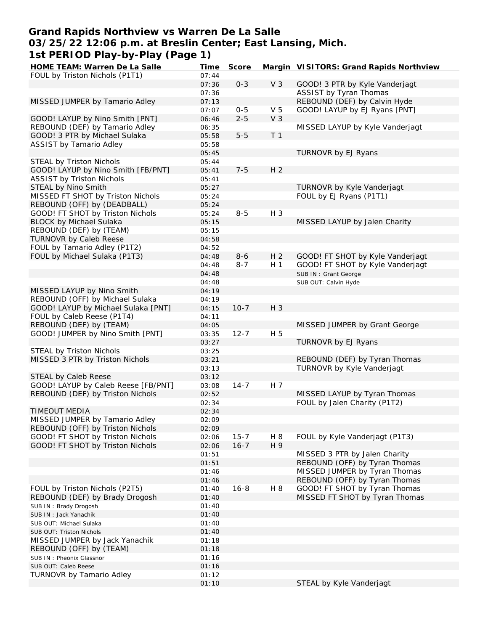## **Grand Rapids Northview vs Warren De La Salle 03/25/22 12:06 p.m. at Breslin Center; East Lansing, Mich. 1st PERIOD Play-by-Play (Page 1)**

| HOME TEAM: Warren De La Salle       | Time  | Score    |                | Margin VISITORS: Grand Rapids Northview |
|-------------------------------------|-------|----------|----------------|-----------------------------------------|
| FOUL by Triston Nichols (P1T1)      | 07:44 |          |                |                                         |
|                                     | 07:36 | $0 - 3$  | V <sub>3</sub> | GOOD! 3 PTR by Kyle Vanderjagt          |
|                                     | 07:36 |          |                | ASSIST by Tyran Thomas                  |
| MISSED JUMPER by Tamario Adley      | 07:13 |          |                | REBOUND (DEF) by Calvin Hyde            |
|                                     | 07:07 | $0 - 5$  | V <sub>5</sub> | GOOD! LAYUP by EJ Ryans [PNT]           |
| GOOD! LAYUP by Nino Smith [PNT]     | 06:46 | $2 - 5$  | V <sub>3</sub> |                                         |
| REBOUND (DEF) by Tamario Adley      | 06:35 |          |                | MISSED LAYUP by Kyle Vanderjagt         |
| GOOD! 3 PTR by Michael Sulaka       | 05:58 | $5 - 5$  | T <sub>1</sub> |                                         |
| <b>ASSIST by Tamario Adley</b>      | 05:58 |          |                |                                         |
|                                     | 05:45 |          |                | TURNOVR by EJ Ryans                     |
| STEAL by Triston Nichols            | 05:44 |          |                |                                         |
| GOOD! LAYUP by Nino Smith [FB/PNT]  | 05:41 | $7 - 5$  | H <sub>2</sub> |                                         |
| <b>ASSIST by Triston Nichols</b>    |       |          |                |                                         |
|                                     | 05:41 |          |                |                                         |
| STEAL by Nino Smith                 | 05:27 |          |                | TURNOVR by Kyle Vanderjagt              |
| MISSED FT SHOT by Triston Nichols   | 05:24 |          |                | FOUL by EJ Ryans (P1T1)                 |
| REBOUND (OFF) by (DEADBALL)         | 05:24 |          |                |                                         |
| GOOD! FT SHOT by Triston Nichols    | 05:24 | $8 - 5$  | $H_3$          |                                         |
| <b>BLOCK by Michael Sulaka</b>      | 05:15 |          |                | MISSED LAYUP by Jalen Charity           |
| REBOUND (DEF) by (TEAM)             | 05:15 |          |                |                                         |
| <b>TURNOVR by Caleb Reese</b>       | 04:58 |          |                |                                         |
| FOUL by Tamario Adley (P1T2)        | 04:52 |          |                |                                         |
| FOUL by Michael Sulaka (P1T3)       | 04:48 | $8 - 6$  | H <sub>2</sub> | GOOD! FT SHOT by Kyle Vanderjagt        |
|                                     | 04:48 | $8 - 7$  | H <sub>1</sub> | GOOD! FT SHOT by Kyle Vanderjagt        |
|                                     | 04:48 |          |                | SUB IN: Grant George                    |
|                                     | 04:48 |          |                | SUB OUT: Calvin Hyde                    |
| MISSED LAYUP by Nino Smith          | 04:19 |          |                |                                         |
| REBOUND (OFF) by Michael Sulaka     | 04:19 |          |                |                                         |
| GOOD! LAYUP by Michael Sulaka [PNT] | 04:15 | $10 - 7$ | H 3            |                                         |
| FOUL by Caleb Reese (P1T4)          | 04:11 |          |                |                                         |
| REBOUND (DEF) by (TEAM)             | 04:05 |          |                | MISSED JUMPER by Grant George           |
| GOOD! JUMPER by Nino Smith [PNT]    | 03:35 | $12 - 7$ | H 5            |                                         |
|                                     | 03:27 |          |                | TURNOVR by EJ Ryans                     |
|                                     |       |          |                |                                         |
| STEAL by Triston Nichols            | 03:25 |          |                |                                         |
| MISSED 3 PTR by Triston Nichols     | 03:21 |          |                | REBOUND (DEF) by Tyran Thomas           |
|                                     | 03:13 |          |                | TURNOVR by Kyle Vanderjagt              |
| STEAL by Caleb Reese                | 03:12 |          |                |                                         |
| GOOD! LAYUP by Caleb Reese [FB/PNT] | 03:08 | $14 - 7$ | H 7            |                                         |
| REBOUND (DEF) by Triston Nichols    | 02:52 |          |                | MISSED LAYUP by Tyran Thomas            |
|                                     | 02:34 |          |                | FOUL by Jalen Charity (P1T2)            |
| <b>TIMEOUT MEDIA</b>                | 02:34 |          |                |                                         |
| MISSED JUMPER by Tamario Adley      | 02:09 |          |                |                                         |
| REBOUND (OFF) by Triston Nichols    | 02:09 |          |                |                                         |
| GOOD! FT SHOT by Triston Nichols    | 02:06 | $15 - 7$ | H 8            | FOUL by Kyle Vanderjagt (P1T3)          |
| GOOD! FT SHOT by Triston Nichols    | 02:06 | $16 - 7$ | H 9            |                                         |
|                                     | 01:51 |          |                | MISSED 3 PTR by Jalen Charity           |
|                                     | 01:51 |          |                | REBOUND (OFF) by Tyran Thomas           |
|                                     | 01:46 |          |                | MISSED JUMPER by Tyran Thomas           |
|                                     | 01:46 |          |                | REBOUND (OFF) by Tyran Thomas           |
| FOUL by Triston Nichols (P2T5)      | 01:40 | $16 - 8$ | H 8            | GOOD! FT SHOT by Tyran Thomas           |
| REBOUND (DEF) by Brady Drogosh      | 01:40 |          |                | MISSED FT SHOT by Tyran Thomas          |
| SUB IN: Brady Drogosh               | 01:40 |          |                |                                         |
| SUB IN: Jack Yanachik               | 01:40 |          |                |                                         |
| SUB OUT: Michael Sulaka             | 01:40 |          |                |                                         |
|                                     | 01:40 |          |                |                                         |
| SUB OUT: Triston Nichols            |       |          |                |                                         |
| MISSED JUMPER by Jack Yanachik      | 01:18 |          |                |                                         |
| REBOUND (OFF) by (TEAM)             | 01:18 |          |                |                                         |
| SUB IN: Pheonix Glassnor            | 01:16 |          |                |                                         |
| SUB OUT: Caleb Reese                | 01:16 |          |                |                                         |
| TURNOVR by Tamario Adley            | 01:12 |          |                |                                         |
|                                     | 01:10 |          |                | STEAL by Kyle Vanderjagt                |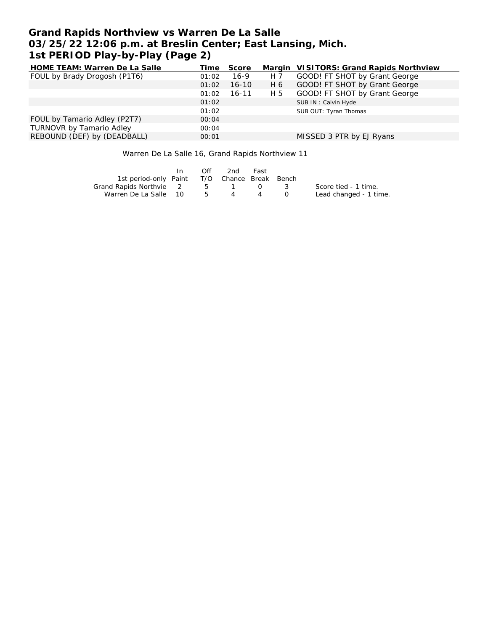# **Grand Rapids Northview vs Warren De La Salle 03/25/22 12:06 p.m. at Breslin Center; East Lansing, Mich. 1st PERIOD Play-by-Play (Page 2)**

| HOME TEAM: Warren De La Salle   | Time  | Score     |     | Margin VISITORS: Grand Rapids Northview |
|---------------------------------|-------|-----------|-----|-----------------------------------------|
| FOUL by Brady Drogosh (P1T6)    | 01:02 | $16-9$    | H 7 | GOOD! FT SHOT by Grant George           |
|                                 | 01:02 | $16 - 10$ | H 6 | GOOD! FT SHOT by Grant George           |
|                                 | 01:02 | $16 - 11$ | H 5 | GOOD! FT SHOT by Grant George           |
|                                 | 01:02 |           |     | SUB IN: Calvin Hyde                     |
|                                 | 01:02 |           |     | SUB OUT: Tyran Thomas                   |
| FOUL by Tamario Adley (P2T7)    | 00:04 |           |     |                                         |
| <b>TURNOVR by Tamario Adley</b> | 00:04 |           |     |                                         |
| REBOUND (DEF) by (DEADBALL)     | 00:01 |           |     | MISSED 3 PTR by EJ Ryans                |

Warren De La Salle 16, Grand Rapids Northview 11

|                                              | In. | Off         | 2nd - | Fast   |          |                        |
|----------------------------------------------|-----|-------------|-------|--------|----------|------------------------|
| 1st period-only Paint T/O Chance Break Bench |     |             |       |        |          |                        |
| Grand Rapids Northvie 2                      |     | $5^{\circ}$ |       | $\cap$ | $\sim$ 3 | Score tied - 1 time.   |
| Warren De La Salle 10                        |     | $5\degree$  | 4     |        |          | Lead changed - 1 time. |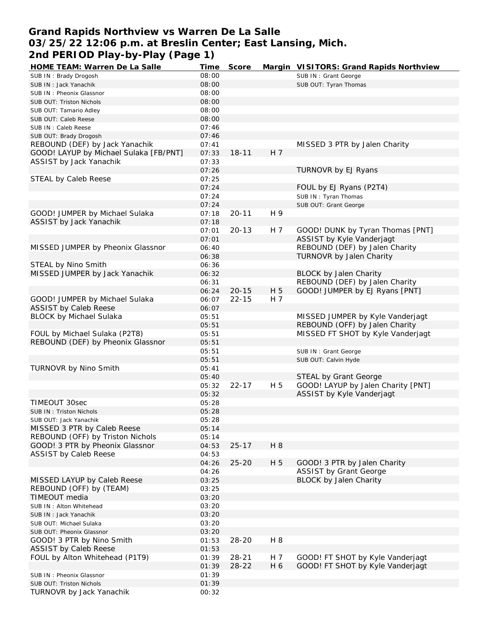# **Grand Rapids Northview vs Warren De La Salle 03/25/22 12:06 p.m. at Breslin Center; East Lansing, Mich. 2nd PERIOD Play-by-Play (Page 1)**

| HOME TEAM: Warren De La Salle          | Time  | Score     |     | Margin VISITORS: Grand Rapids Northview |
|----------------------------------------|-------|-----------|-----|-----------------------------------------|
| SUB IN: Brady Drogosh                  | 08:00 |           |     | SUB IN: Grant George                    |
| SUB IN: Jack Yanachik                  | 08:00 |           |     | SUB OUT: Tyran Thomas                   |
| SUB IN: Pheonix Glassnor               | 08:00 |           |     |                                         |
| SUB OUT: Triston Nichols               | 08:00 |           |     |                                         |
| SUB OUT: Tamario Adley                 | 08:00 |           |     |                                         |
| SUB OUT: Caleb Reese                   | 08:00 |           |     |                                         |
| SUB IN: Caleb Reese                    | 07:46 |           |     |                                         |
| SUB OUT: Brady Drogosh                 | 07:46 |           |     |                                         |
| REBOUND (DEF) by Jack Yanachik         | 07:41 |           |     | MISSED 3 PTR by Jalen Charity           |
| GOOD! LAYUP by Michael Sulaka [FB/PNT] | 07:33 | $18 - 11$ | H 7 |                                         |
| ASSIST by Jack Yanachik                | 07:33 |           |     |                                         |
|                                        | 07:26 |           |     | TURNOVR by EJ Ryans                     |
| STEAL by Caleb Reese                   | 07:25 |           |     |                                         |
|                                        | 07:24 |           |     | FOUL by EJ Ryans (P2T4)                 |
|                                        | 07:24 |           |     | SUB IN: Tyran Thomas                    |
|                                        | 07:24 |           |     | SUB OUT: Grant George                   |
| GOOD! JUMPER by Michael Sulaka         | 07:18 | $20 - 11$ | H 9 |                                         |
| ASSIST by Jack Yanachik                | 07:18 |           |     |                                         |
|                                        | 07:01 | $20 - 13$ | H 7 | GOOD! DUNK by Tyran Thomas [PNT]        |
|                                        | 07:01 |           |     | ASSIST by Kyle Vanderjagt               |
| MISSED JUMPER by Pheonix Glassnor      | 06:40 |           |     | REBOUND (DEF) by Jalen Charity          |
|                                        | 06:38 |           |     | TURNOVR by Jalen Charity                |
| STEAL by Nino Smith                    | 06:36 |           |     |                                         |
| MISSED JUMPER by Jack Yanachik         | 06:32 |           |     | <b>BLOCK by Jalen Charity</b>           |
|                                        | 06:31 |           |     | REBOUND (DEF) by Jalen Charity          |
|                                        |       |           |     |                                         |
|                                        | 06:24 | $20 - 15$ | H 5 | GOOD! JUMPER by EJ Ryans [PNT]          |
| GOOD! JUMPER by Michael Sulaka         | 06:07 | $22 - 15$ | H 7 |                                         |
| <b>ASSIST by Caleb Reese</b>           | 06:07 |           |     |                                         |
| <b>BLOCK by Michael Sulaka</b>         | 05:51 |           |     | MISSED JUMPER by Kyle Vanderjagt        |
|                                        | 05:51 |           |     | REBOUND (OFF) by Jalen Charity          |
| FOUL by Michael Sulaka (P2T8)          | 05:51 |           |     | MISSED FT SHOT by Kyle Vanderjagt       |
| REBOUND (DEF) by Pheonix Glassnor      | 05:51 |           |     |                                         |
|                                        | 05:51 |           |     | SUB IN: Grant George                    |
|                                        | 05:51 |           |     | SUB OUT: Calvin Hyde                    |
| TURNOVR by Nino Smith                  | 05:41 |           |     |                                         |
|                                        | 05:40 |           |     | STEAL by Grant George                   |
|                                        | 05:32 | $22 - 17$ | H 5 | GOOD! LAYUP by Jalen Charity [PNT]      |
|                                        | 05:32 |           |     | ASSIST by Kyle Vanderjagt               |
| TIMEOUT 30sec                          | 05:28 |           |     |                                         |
| SUB IN: Triston Nichols                | 05:28 |           |     |                                         |
| SUB OUT: Jack Yanachik                 | 05:28 |           |     |                                         |
| MISSED 3 PTR by Caleb Reese            | 05:14 |           |     |                                         |
| REBOUND (OFF) by Triston Nichols       | 05:14 |           |     |                                         |
| GOOD! 3 PTR by Pheonix Glassnor        | 04:53 | $25 - 17$ | H 8 |                                         |
| <b>ASSIST by Caleb Reese</b>           | 04:53 |           |     |                                         |
|                                        | 04:26 | $25 - 20$ | H 5 | GOOD! 3 PTR by Jalen Charity            |
|                                        | 04:26 |           |     | <b>ASSIST by Grant George</b>           |
| MISSED LAYUP by Caleb Reese            | 03:25 |           |     | <b>BLOCK by Jalen Charity</b>           |
| REBOUND (OFF) by (TEAM)                | 03:25 |           |     |                                         |
| TIMEOUT media                          | 03:20 |           |     |                                         |
| SUB IN: Alton Whitehead                | 03:20 |           |     |                                         |
| SUB IN: Jack Yanachik                  | 03:20 |           |     |                                         |
| SUB OUT: Michael Sulaka                | 03:20 |           |     |                                         |
| SUB OUT: Pheonix Glassnor              | 03:20 |           |     |                                         |
| GOOD! 3 PTR by Nino Smith              | 01:53 | $28 - 20$ | H 8 |                                         |
| <b>ASSIST by Caleb Reese</b>           | 01:53 |           |     |                                         |
| FOUL by Alton Whitehead (P1T9)         | 01:39 | $28 - 21$ | H 7 | GOOD! FT SHOT by Kyle Vanderjagt        |
|                                        | 01:39 | $28 - 22$ | H 6 | GOOD! FT SHOT by Kyle Vanderjagt        |
| SUB IN: Pheonix Glassnor               | 01:39 |           |     |                                         |
| SUB OUT: Triston Nichols               | 01:39 |           |     |                                         |
| TURNOVR by Jack Yanachik               | 00:32 |           |     |                                         |
|                                        |       |           |     |                                         |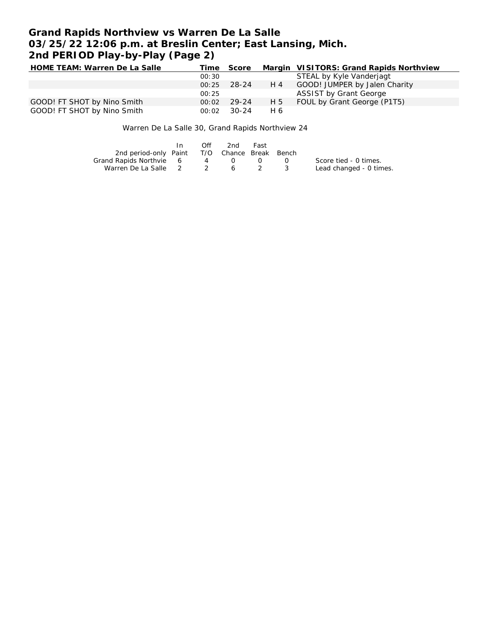# **Grand Rapids Northview vs Warren De La Salle 03/25/22 12:06 p.m. at Breslin Center; East Lansing, Mich. 2nd PERIOD Play-by-Play (Page 2)**

| HOME TEAM: Warren De La Salle |       | Time Score |     | Margin VISITORS: Grand Rapids Northview |
|-------------------------------|-------|------------|-----|-----------------------------------------|
|                               | 00:30 |            |     | STEAL by Kyle Vanderjagt                |
|                               | 00:25 | - 28-24    | H 4 | GOOD! JUMPER by Jalen Charity           |
|                               | 00:25 |            |     | <b>ASSIST by Grant George</b>           |
| GOOD! FT SHOT by Nino Smith   | 00:02 | 29-24      | H 5 | FOUL by Grant George (P1T5)             |
| GOOD! FT SHOT by Nino Smith   | 00:02 | 30-24      | H 6 |                                         |

Warren De La Salle 30, Grand Rapids Northview 24

|                                              | In In | Off | 2nd | Fast |                   |                         |
|----------------------------------------------|-------|-----|-----|------|-------------------|-------------------------|
| 2nd period-only Paint T/O Chance Break Bench |       |     |     |      |                   |                         |
| Grand Rapids Northvie 6                      |       |     | 4 0 |      | $\Omega$ $\Omega$ | Score tied - 0 times.   |
| Warren De La Salle 2 2 6 2 3                 |       |     |     |      |                   | Lead changed - 0 times. |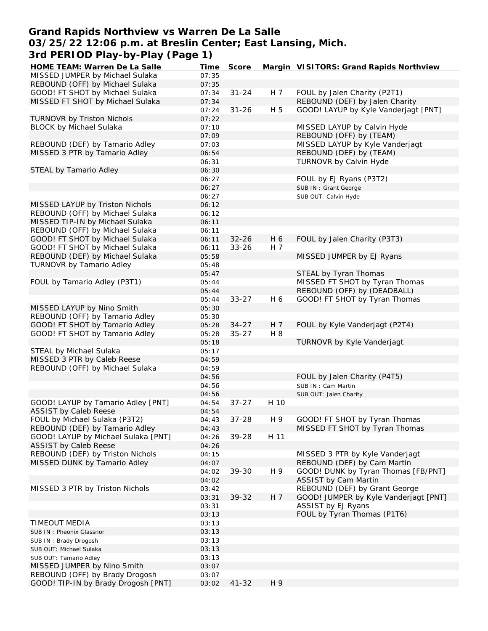## **Grand Rapids Northview vs Warren De La Salle 03/25/22 12:06 p.m. at Breslin Center; East Lansing, Mich. 3rd PERIOD Play-by-Play (Page 1)**

| HOME TEAM: Warren De La Salle       | Time  | Score     |      | Margin VISITORS: Grand Rapids Northview |
|-------------------------------------|-------|-----------|------|-----------------------------------------|
| MISSED JUMPER by Michael Sulaka     | 07:35 |           |      |                                         |
| REBOUND (OFF) by Michael Sulaka     | 07:35 |           |      |                                         |
| GOOD! FT SHOT by Michael Sulaka     | 07:34 | $31 - 24$ | H 7  | FOUL by Jalen Charity (P2T1)            |
| MISSED FT SHOT by Michael Sulaka    | 07:34 |           |      | REBOUND (DEF) by Jalen Charity          |
|                                     | 07:24 | $31 - 26$ | H 5  | GOOD! LAYUP by Kyle Vanderjagt [PNT]    |
| TURNOVR by Triston Nichols          | 07:22 |           |      |                                         |
| <b>BLOCK by Michael Sulaka</b>      | 07:10 |           |      | MISSED LAYUP by Calvin Hyde             |
|                                     | 07:09 |           |      | REBOUND (OFF) by (TEAM)                 |
| REBOUND (DEF) by Tamario Adley      | 07:03 |           |      | MISSED LAYUP by Kyle Vanderjagt         |
| MISSED 3 PTR by Tamario Adley       | 06:54 |           |      | REBOUND (DEF) by (TEAM)                 |
|                                     | 06:31 |           |      | TURNOVR by Calvin Hyde                  |
| STEAL by Tamario Adley              | 06:30 |           |      |                                         |
|                                     | 06:27 |           |      | FOUL by EJ Ryans (P3T2)                 |
|                                     | 06:27 |           |      | SUB IN: Grant George                    |
|                                     | 06:27 |           |      | SUB OUT: Calvin Hyde                    |
| MISSED LAYUP by Triston Nichols     | 06:12 |           |      |                                         |
| REBOUND (OFF) by Michael Sulaka     | 06:12 |           |      |                                         |
| MISSED TIP-IN by Michael Sulaka     | 06:11 |           |      |                                         |
| REBOUND (OFF) by Michael Sulaka     | 06:11 |           |      |                                         |
| GOOD! FT SHOT by Michael Sulaka     | 06:11 | $32 - 26$ | H 6  |                                         |
| GOOD! FT SHOT by Michael Sulaka     |       |           | H 7  | FOUL by Jalen Charity (P3T3)            |
|                                     | 06:11 | $33 - 26$ |      |                                         |
| REBOUND (DEF) by Michael Sulaka     | 05:58 |           |      | MISSED JUMPER by EJ Ryans               |
| TURNOVR by Tamario Adley            | 05:48 |           |      |                                         |
|                                     | 05:47 |           |      | STEAL by Tyran Thomas                   |
| FOUL by Tamario Adley (P3T1)        | 05:44 |           |      | MISSED FT SHOT by Tyran Thomas          |
|                                     | 05:44 |           |      | REBOUND (OFF) by (DEADBALL)             |
|                                     | 05:44 | $33 - 27$ | H 6  | GOOD! FT SHOT by Tyran Thomas           |
| MISSED LAYUP by Nino Smith          | 05:30 |           |      |                                         |
| REBOUND (OFF) by Tamario Adley      | 05:30 |           |      |                                         |
| GOOD! FT SHOT by Tamario Adley      | 05:28 | $34 - 27$ | H 7  | FOUL by Kyle Vanderjagt (P2T4)          |
| GOOD! FT SHOT by Tamario Adley      | 05:28 | $35 - 27$ | H 8  |                                         |
|                                     | 05:18 |           |      | TURNOVR by Kyle Vanderjagt              |
| STEAL by Michael Sulaka             | 05:17 |           |      |                                         |
| MISSED 3 PTR by Caleb Reese         | 04:59 |           |      |                                         |
| REBOUND (OFF) by Michael Sulaka     | 04:59 |           |      |                                         |
|                                     | 04:56 |           |      | FOUL by Jalen Charity (P4T5)            |
|                                     | 04:56 |           |      | SUB IN: Cam Martin                      |
|                                     | 04:56 |           |      | SUB OUT: Jalen Charity                  |
| GOOD! LAYUP by Tamario Adley [PNT]  | 04:54 | $37 - 27$ | H 10 |                                         |
| <b>ASSIST by Caleb Reese</b>        | 04:54 |           |      |                                         |
| FOUL by Michael Sulaka (P3T2)       | 04:43 | $37 - 28$ | H 9  | GOOD! FT SHOT by Tyran Thomas           |
| REBOUND (DEF) by Tamario Adley      | 04:43 |           |      | MISSED FT SHOT by Tyran Thomas          |
| GOOD! LAYUP by Michael Sulaka [PNT] | 04:26 | 39-28     | H 11 |                                         |
| <b>ASSIST by Caleb Reese</b>        | 04:26 |           |      |                                         |
| REBOUND (DEF) by Triston Nichols    | 04:15 |           |      | MISSED 3 PTR by Kyle Vanderjagt         |
| MISSED DUNK by Tamario Adley        | 04:07 |           |      | REBOUND (DEF) by Cam Martin             |
|                                     | 04:02 | 39-30     | H 9  | GOOD! DUNK by Tyran Thomas [FB/PNT]     |
|                                     | 04:02 |           |      | <b>ASSIST by Cam Martin</b>             |
| MISSED 3 PTR by Triston Nichols     | 03:42 |           |      | REBOUND (DEF) by Grant George           |
|                                     | 03:31 | 39-32     | H 7  | GOOD! JUMPER by Kyle Vanderjagt [PNT]   |
|                                     | 03:31 |           |      | ASSIST by EJ Ryans                      |
|                                     | 03:13 |           |      | FOUL by Tyran Thomas (P1T6)             |
| <b>TIMEOUT MEDIA</b>                | 03:13 |           |      |                                         |
| SUB IN: Pheonix Glassnor            | 03:13 |           |      |                                         |
| SUB IN: Brady Drogosh               | 03:13 |           |      |                                         |
| SUB OUT: Michael Sulaka             | 03:13 |           |      |                                         |
| SUB OUT: Tamario Adley              | 03:13 |           |      |                                         |
| MISSED JUMPER by Nino Smith         | 03:07 |           |      |                                         |
| REBOUND (OFF) by Brady Drogosh      | 03:07 |           |      |                                         |
| GOOD! TIP-IN by Brady Drogosh [PNT] | 03:02 | $41 - 32$ | H 9  |                                         |
|                                     |       |           |      |                                         |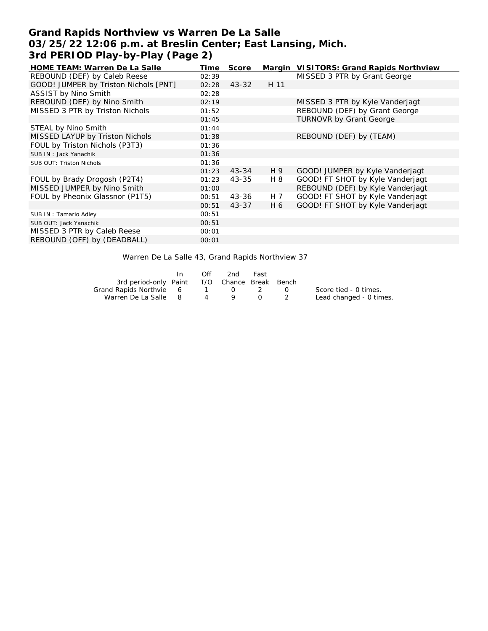# **Grand Rapids Northview vs Warren De La Salle 03/25/22 12:06 p.m. at Breslin Center; East Lansing, Mich. 3rd PERIOD Play-by-Play (Page 2)**

| <b>HOME TEAM: Warren De La Salle</b>  | Time  | Score     |      | Margin VISITORS: Grand Rapids Northview |
|---------------------------------------|-------|-----------|------|-----------------------------------------|
| REBOUND (DEF) by Caleb Reese          | 02:39 |           |      | MISSED 3 PTR by Grant George            |
| GOOD! JUMPER by Triston Nichols [PNT] | 02:28 | $43 - 32$ | H 11 |                                         |
| ASSIST by Nino Smith                  | 02:28 |           |      |                                         |
| REBOUND (DEF) by Nino Smith           | 02:19 |           |      | MISSED 3 PTR by Kyle Vanderjagt         |
| MISSED 3 PTR by Triston Nichols       | 01:52 |           |      | REBOUND (DEF) by Grant George           |
|                                       | 01:45 |           |      | <b>TURNOVR by Grant George</b>          |
| STEAL by Nino Smith                   | 01:44 |           |      |                                         |
| MISSED LAYUP by Triston Nichols       | 01:38 |           |      | REBOUND (DEF) by (TEAM)                 |
| FOUL by Triston Nichols (P3T3)        | 01:36 |           |      |                                         |
| SUB IN: Jack Yanachik                 | 01:36 |           |      |                                         |
| <b>SUB OUT: Triston Nichols</b>       | 01:36 |           |      |                                         |
|                                       | 01:23 | $43 - 34$ | H 9  | GOOD! JUMPER by Kyle Vanderjagt         |
| FOUL by Brady Drogosh (P2T4)          | 01:23 | $43 - 35$ | H 8  | GOOD! FT SHOT by Kyle Vanderjagt        |
| MISSED JUMPER by Nino Smith           | 01:00 |           |      | REBOUND (DEF) by Kyle Vanderjagt        |
| FOUL by Pheonix Glassnor (P1T5)       | 00:51 | 43-36     | H 7  | GOOD! FT SHOT by Kyle Vanderjagt        |
|                                       | 00:51 | 43-37     | H 6  | GOOD! FT SHOT by Kyle Vanderjagt        |
| SUB IN: Tamario Adley                 | 00:51 |           |      |                                         |
| SUB OUT: Jack Yanachik                | 00:51 |           |      |                                         |
| MISSED 3 PTR by Caleb Reese           | 00:01 |           |      |                                         |
| REBOUND (OFF) by (DEADBALL)           | 00:01 |           |      |                                         |

Warren De La Salle 43, Grand Rapids Northview 37

|                                              | In. | Off | 2nd | Fast      |                                                                                                |                         |
|----------------------------------------------|-----|-----|-----|-----------|------------------------------------------------------------------------------------------------|-------------------------|
| 3rd period-only Paint T/O Chance Break Bench |     |     |     |           |                                                                                                |                         |
| Grand Rapids Northvie 6 1 0 2                |     |     |     |           | $\left( \begin{array}{ccc} \cdot & \cdot & \cdot \\ \cdot & \cdot & \cdot \end{array} \right)$ | Score tied - 0 times.   |
| Warren De La Salle 8                         |     |     | 4 9 | $\bigcap$ |                                                                                                | Lead changed - 0 times. |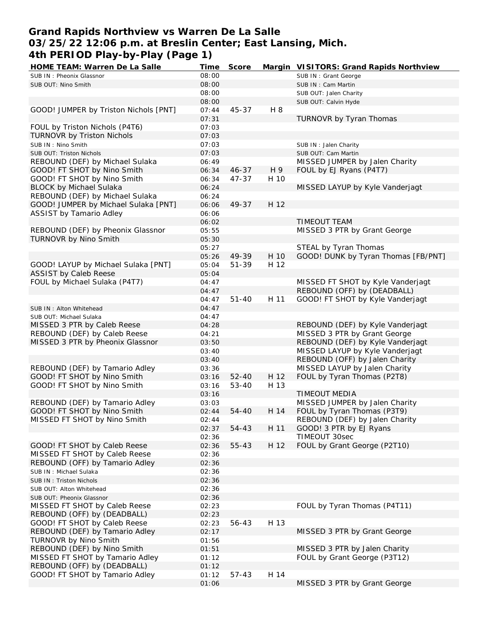## **Grand Rapids Northview vs Warren De La Salle 03/25/22 12:06 p.m. at Breslin Center; East Lansing, Mich. 4th PERIOD Play-by-Play (Page 1)**

| HOME TEAM: Warren De La Salle                                    | Time           | Score     |      | Margin VISITORS: Grand Rapids Northview                           |
|------------------------------------------------------------------|----------------|-----------|------|-------------------------------------------------------------------|
| SUB IN: Pheonix Glassnor                                         | 08:00          |           |      | SUB IN: Grant George                                              |
| SUB OUT: Nino Smith                                              | 08:00          |           |      | SUB IN: Cam Martin                                                |
|                                                                  | 08:00          |           |      | SUB OUT: Jalen Charity                                            |
|                                                                  | 08:00          |           |      | SUB OUT: Calvin Hyde                                              |
| GOOD! JUMPER by Triston Nichols [PNT]                            | 07:44          | 45-37     | H 8  |                                                                   |
|                                                                  | 07:31          |           |      | TURNOVR by Tyran Thomas                                           |
| FOUL by Triston Nichols (P4T6)                                   | 07:03          |           |      |                                                                   |
| TURNOVR by Triston Nichols                                       | 07:03          |           |      |                                                                   |
| SUB IN: Nino Smith                                               | 07:03          |           |      | SUB IN : Jalen Charity                                            |
| SUB OUT: Triston Nichols                                         | 07:03          |           |      | SUB OUT: Cam Martin                                               |
| REBOUND (DEF) by Michael Sulaka                                  | 06:49          |           |      | MISSED JUMPER by Jalen Charity                                    |
| GOOD! FT SHOT by Nino Smith                                      | 06:34          | $46 - 37$ | H 9  | FOUL by EJ Ryans (P4T7)                                           |
| GOOD! FT SHOT by Nino Smith                                      | 06:34          | 47-37     | H 10 |                                                                   |
| <b>BLOCK by Michael Sulaka</b>                                   | 06:24          |           |      | MISSED LAYUP by Kyle Vanderjagt                                   |
| REBOUND (DEF) by Michael Sulaka                                  | 06:24          |           |      |                                                                   |
| GOOD! JUMPER by Michael Sulaka [PNT]                             | 06:06          | 49-37     | H 12 |                                                                   |
| ASSIST by Tamario Adley                                          | 06:06          |           |      |                                                                   |
|                                                                  | 06:02          |           |      | <b>TIMEOUT TEAM</b>                                               |
| REBOUND (DEF) by Pheonix Glassnor                                | 05:55          |           |      | MISSED 3 PTR by Grant George                                      |
| TURNOVR by Nino Smith                                            | 05:30          |           |      |                                                                   |
|                                                                  | 05:27          |           |      | STEAL by Tyran Thomas                                             |
|                                                                  | 05:26          | 49-39     | H 10 | GOOD! DUNK by Tyran Thomas [FB/PNT]                               |
| GOOD! LAYUP by Michael Sulaka [PNT]                              | 05:04          | 51-39     | H 12 |                                                                   |
| <b>ASSIST by Caleb Reese</b>                                     | 05:04          |           |      |                                                                   |
| FOUL by Michael Sulaka (P4T7)                                    | 04:47          |           |      | MISSED FT SHOT by Kyle Vanderjagt                                 |
|                                                                  | 04:47          |           |      | REBOUND (OFF) by (DEADBALL)                                       |
|                                                                  | 04:47          | $51 - 40$ | H 11 | GOOD! FT SHOT by Kyle Vanderjagt                                  |
|                                                                  | 04:47          |           |      |                                                                   |
| SUB IN: Alton Whitehead                                          | 04:47          |           |      |                                                                   |
| SUB OUT: Michael Sulaka                                          |                |           |      |                                                                   |
| MISSED 3 PTR by Caleb Reese                                      | 04:28          |           |      | REBOUND (DEF) by Kyle Vanderjagt<br>MISSED 3 PTR by Grant George  |
| REBOUND (DEF) by Caleb Reese<br>MISSED 3 PTR by Pheonix Glassnor | 04:21          |           |      | REBOUND (DEF) by Kyle Vanderjagt                                  |
|                                                                  | 03:50          |           |      |                                                                   |
|                                                                  | 03:40          |           |      | MISSED LAYUP by Kyle Vanderjagt<br>REBOUND (OFF) by Jalen Charity |
|                                                                  | 03:40          |           |      |                                                                   |
| REBOUND (DEF) by Tamario Adley<br>GOOD! FT SHOT by Nino Smith    | 03:36          |           |      | MISSED LAYUP by Jalen Charity                                     |
| GOOD! FT SHOT by Nino Smith                                      | 03:16<br>03:16 | $52 - 40$ | H 12 | FOUL by Tyran Thomas (P2T8)                                       |
|                                                                  |                | 53-40     | H 13 | <b>TIMEOUT MEDIA</b>                                              |
|                                                                  | 03:16          |           |      |                                                                   |
| REBOUND (DEF) by Tamario Adley                                   | 03:03          |           |      | MISSED JUMPER by Jalen Charity                                    |
| GOOD! FT SHOT by Nino Smith                                      | 02:44          | $54 - 40$ | H 14 | FOUL by Tyran Thomas (P3T9)                                       |
| MISSED FT SHOT by Nino Smith                                     | 02:44          |           |      | REBOUND (DEF) by Jalen Charity                                    |
|                                                                  | 02:37          | 54-43     | H 11 | GOOD! 3 PTR by EJ Ryans                                           |
|                                                                  | 02:36          |           |      | TIMEOUT 30sec                                                     |
| GOOD! FT SHOT by Caleb Reese                                     | 02:36          | $55 - 43$ | H 12 | FOUL by Grant George (P2T10)                                      |
| MISSED FT SHOT by Caleb Reese                                    | 02:36          |           |      |                                                                   |
| REBOUND (OFF) by Tamario Adley                                   | 02:36          |           |      |                                                                   |
| SUB IN : Michael Sulaka                                          | 02:36          |           |      |                                                                   |
| SUB IN: Triston Nichols                                          | 02:36          |           |      |                                                                   |
| SUB OUT: Alton Whitehead                                         | 02:36          |           |      |                                                                   |
| SUB OUT: Pheonix Glassnor                                        | 02:36          |           |      |                                                                   |
| MISSED FT SHOT by Caleb Reese                                    | 02:23          |           |      | FOUL by Tyran Thomas (P4T11)                                      |
| REBOUND (OFF) by (DEADBALL)                                      | 02:23          |           |      |                                                                   |
| GOOD! FT SHOT by Caleb Reese                                     | 02:23          | 56-43     | H 13 |                                                                   |
| REBOUND (DEF) by Tamario Adley                                   | 02:17          |           |      | MISSED 3 PTR by Grant George                                      |
| TURNOVR by Nino Smith                                            | 01:56          |           |      |                                                                   |
| REBOUND (DEF) by Nino Smith                                      | 01:51          |           |      | MISSED 3 PTR by Jalen Charity                                     |
| MISSED FT SHOT by Tamario Adley                                  | 01:12          |           |      | FOUL by Grant George (P3T12)                                      |
| REBOUND (OFF) by (DEADBALL)                                      | 01:12          |           |      |                                                                   |
| GOOD! FT SHOT by Tamario Adley                                   | 01:12          | $57 - 43$ | H 14 |                                                                   |
|                                                                  | 01:06          |           |      | MISSED 3 PTR by Grant George                                      |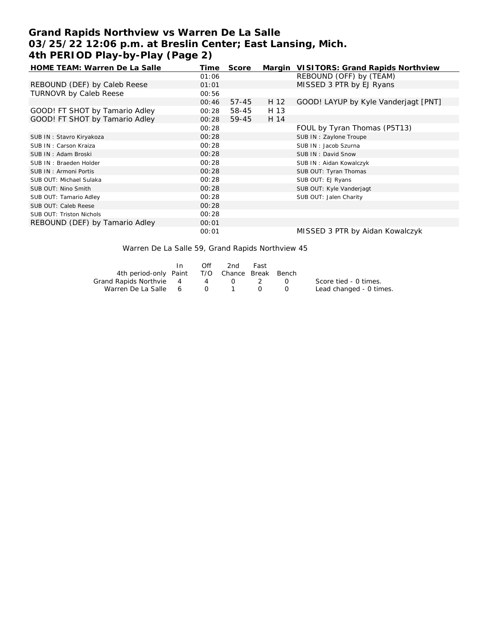# **Grand Rapids Northview vs Warren De La Salle 03/25/22 12:06 p.m. at Breslin Center; East Lansing, Mich. 4th PERIOD Play-by-Play (Page 2)**

| HOME TEAM: Warren De La Salle  | Time  | Score     |      | Margin VISITORS: Grand Rapids Northview |
|--------------------------------|-------|-----------|------|-----------------------------------------|
|                                | 01:06 |           |      | REBOUND (OFF) by (TEAM)                 |
| REBOUND (DEF) by Caleb Reese   | 01:01 |           |      | MISSED 3 PTR by EJ Ryans                |
| <b>TURNOVR by Caleb Reese</b>  | 00:56 |           |      |                                         |
|                                | 00:46 | $57 - 45$ | H 12 | GOOD! LAYUP by Kyle Vanderjagt [PNT]    |
| GOOD! FT SHOT by Tamario Adley | 00:28 | 58-45     | H 13 |                                         |
| GOOD! FT SHOT by Tamario Adley | 00:28 | 59-45     | H 14 |                                         |
|                                | 00:28 |           |      | FOUL by Tyran Thomas (P5T13)            |
| SUB IN: Stavro Kiryakoza       | 00:28 |           |      | SUB IN: Zaylone Troupe                  |
| SUB IN: Carson Kraiza          | 00:28 |           |      | SUB IN: Jacob Szurna                    |
| SUB IN: Adam Broski            | 00:28 |           |      | SUB IN: David Snow                      |
| SUB IN: Braeden Holder         | 00:28 |           |      | SUB IN: Aidan Kowalczyk                 |
| SUB IN: Armoni Portis          | 00:28 |           |      | SUB OUT: Tyran Thomas                   |
| SUB OUT: Michael Sulaka        | 00:28 |           |      | SUB OUT: EJ Ryans                       |
| SUB OUT: Nino Smith            | 00:28 |           |      | SUB OUT: Kyle Vanderjagt                |
| SUB OUT: Tamario Adley         | 00:28 |           |      | SUB OUT: Jalen Charity                  |
| SUB OUT: Caleb Reese           | 00:28 |           |      |                                         |
| SUB OUT: Triston Nichols       | 00:28 |           |      |                                         |
| REBOUND (DEF) by Tamario Adley | 00:01 |           |      |                                         |
|                                | 00:01 |           |      | MISSED 3 PTR by Aidan Kowalczyk         |

Warren De La Salle 59, Grand Rapids Northview 45

|                                              | In. | Off | 2nd                                    | Fast                                                                                           |                                               |                         |
|----------------------------------------------|-----|-----|----------------------------------------|------------------------------------------------------------------------------------------------|-----------------------------------------------|-------------------------|
| 4th period-only Paint T/O Chance Break Bench |     |     |                                        |                                                                                                |                                               |                         |
| Grand Rapids Northvie 4 4 0                  |     |     |                                        | $\sim$ 2                                                                                       | $\left( \begin{array}{c} \end{array} \right)$ | Score tied - 0 times.   |
| Warren De La Salle 6                         |     |     | $\begin{array}{ccc} 0 & 1 \end{array}$ | $\left( \begin{array}{ccc} \cdot & \cdot & \cdot \\ \cdot & \cdot & \cdot \end{array} \right)$ |                                               | Lead changed - 0 times. |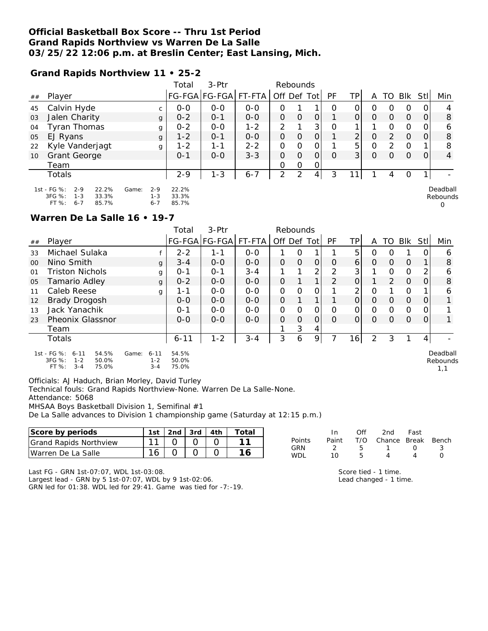### **Official Basketball Box Score -- Thru 1st Period Grand Rapids Northview vs Warren De La Salle 03/25/22 12:06 p.m. at Breslin Center; East Lansing, Mich.**

#### **Grand Rapids Northview 11 • 25-2**

|    |                                                                                            |                                        | Total                   | 3-Ptr                |         | Rebounds       |                |                |           |          |          |          |               |                |                           |
|----|--------------------------------------------------------------------------------------------|----------------------------------------|-------------------------|----------------------|---------|----------------|----------------|----------------|-----------|----------|----------|----------|---------------|----------------|---------------------------|
| ## | Player                                                                                     |                                        |                         | FG-FGA FG-FGA FT-FTA |         | Off Def Tot    |                |                | <b>PF</b> | TPI      | A        | TO       | Blk           | -StII          | Min                       |
| 45 | Calvin Hyde                                                                                |                                        | $0 - 0$                 | $O - O$              | $O-O$   | O              |                |                | O         | 0        | O        | O        | 0             | $\overline{O}$ | 4                         |
| 03 | Jalen Charity                                                                              | g                                      | $0 - 2$                 | $0 - 1$              | $0 - 0$ | $\Omega$       | $\Omega$       | $\Omega$       |           | $\Omega$ | $\Omega$ | $\Omega$ | $\circ$       | 0              | 8                         |
| 04 | Tyran Thomas                                                                               | g                                      | $0 - 2$                 | $O - O$              | $1 - 2$ | $\overline{2}$ |                | 3 <sup>1</sup> | O         |          |          | Ο        | $\mathcal{O}$ | $\overline{O}$ | 6                         |
| 05 | EJ Ryans                                                                                   | g                                      | $1 - 2$                 | $O - 1$              | $0 - 0$ | $\Omega$       | $\Omega$       | $\Omega$       |           | 2        | $\Omega$ | 2        | $\Omega$      | $\overline{O}$ | 8                         |
| 22 | Kyle Vanderjagt                                                                            | g                                      | $1 - 2$                 | 1-1                  | $2 - 2$ | O              | $\Omega$       | $\Omega$       |           | 5        | 0        | 2        | 0             |                | 8                         |
| 10 | <b>Grant George</b>                                                                        |                                        | $0 - 1$                 | $0 - 0$              | $3 - 3$ | $\Omega$       | $\Omega$       | $\Omega$       | $\Omega$  | 3        | $\Omega$ | 0        | $\Omega$      | $\Omega$       | 4                         |
|    | Team                                                                                       |                                        |                         |                      |         | O              | O              | $\Omega$       |           |          |          |          |               |                |                           |
|    | Totals                                                                                     |                                        | $2 - 9$                 | $1 - 3$              | $6 - 7$ | 2              | $\mathfrak{D}$ | 4 <sup>1</sup> | 3         |          |          | 4        | 0             |                |                           |
|    | 1st - FG %:<br>22.2%<br>$2 - 9$<br>3FG %:<br>33.3%<br>$1 - 3$<br>$6 - 7$<br>FT %:<br>85.7% | $2 - 9$<br>Game:<br>$1 - 3$<br>$6 - 7$ | 22.2%<br>33.3%<br>85.7% |                      |         |                |                |                |           |          |          |          |               |                | Deadball<br>Rebounds<br>0 |

#### **Warren De La Salle 16 • 19-7**

|         |                                                                                         |   | Total          | $3-Ptr$               |         | Rebounds    |          |          |               |          |          |          |          |     |                      |
|---------|-----------------------------------------------------------------------------------------|---|----------------|-----------------------|---------|-------------|----------|----------|---------------|----------|----------|----------|----------|-----|----------------------|
| ##      | Player                                                                                  |   |                | FG-FGA FG-FGA  FT-FTA |         | Off Def Tot |          |          | PF            | TP.      | A        | TO.      | Blk      | Stl | Min                  |
| 33      | Michael Sulaka                                                                          |   | $2 - 2$        | 1-1                   | $O - O$ |             | Ω        |          |               | 5        | Ο        | O        |          |     | 6                    |
| $00 \,$ | Nino Smith                                                                              | g | $3 - 4$        | $0 - 0$               | $0 - 0$ | 0           | $\Omega$ | $\Omega$ | $\Omega$      | 6        | 0        | O        | $\Omega$ |     | 8                    |
| 01      | Triston Nichols                                                                         | g | $O - 1$        | $O - 1$               | $3 - 4$ |             |          | 2        | 2             | 3        |          | $\Omega$ | $\Omega$ | 2   | 6                    |
| 05      | Tamario Adley                                                                           | g | $0 - 2$        | $O - O$               | $O - O$ | Ο           |          | 1        | $\mathcal{P}$ | 0        |          | 2        | $\Omega$ | Ο   | 8                    |
| 11      | Caleb Reese                                                                             | g | 1-1            | $0 - 0$               | $O - O$ | 0           | Ω        | 0        |               | 2        | O        |          | 0        |     | 6                    |
| 12      | <b>Brady Drogosh</b>                                                                    |   | $O - O$        | $0 - 0$               | $O - O$ | 0           |          |          |               | $\Omega$ | $\Omega$ | $\Omega$ | $\Omega$ | Ο   |                      |
| 13      | Jack Yanachik                                                                           |   | $O - 1$        | $0 - 0$               | $0 - 0$ | 0           | 0        | 0        | Ω             | Ο        | O        | Ω        | 0        |     |                      |
| 23      | <b>Pheonix Glassnor</b>                                                                 |   | $O - O$        | $0 - 0$               | $O - O$ | $\Omega$    | O        | O        | O             | 0        | $\Omega$ | Ο        | $\Omega$ | Ο   |                      |
|         | Team                                                                                    |   |                |                       |         |             | 3        | 4        |               |          |          |          |          |     |                      |
|         | Totals                                                                                  |   | $6 - 11$       | $1 - 2$               | $3 - 4$ | 3           | 6        | 9        |               | 16       | 2        | 3        |          |     |                      |
|         | 1st - FG %: 6-11<br>54.5%<br>$6 - 11$<br>Game:<br>$1 - 2$<br>3FG %:<br>$1 - 2$<br>50.0% |   | 54.5%<br>50.0% |                       |         |             |          |          |               |          |          |          |          |     | Deadball<br>Rebounds |

3FG %: 1-2 50.0% FT %: 3-4 75.0% 1-2 50.0% 75.0%

Officials: AJ Haduch, Brian Morley, David Turley

Technical fouls: Grand Rapids Northview-None. Warren De La Salle-None.

Attendance: 5068

MHSAA Boys Basketball Division 1, Semifinal #1

De La Salle advances to Division 1 championship game (Saturday at 12:15 p.m.)

| Score by periods              | 1st i   | 2nd | 3rd | 4th | ota: |                   |                   | Of  | 2nd    | Fast         |       |
|-------------------------------|---------|-----|-----|-----|------|-------------------|-------------------|-----|--------|--------------|-------|
| <b>Grand Rapids Northview</b> |         |     |     |     |      | Points            | Pain <sup>®</sup> | T/C | Chance | <b>Break</b> | Bench |
| Warren<br>Salle<br>De La      | $\circ$ |     |     |     |      | GRN<br><b>WDL</b> |                   |     |        |              |       |

Last FG - GRN 1st-07:07, WDL 1st-03:08. Largest lead - GRN by 5 1st-07:07, WDL by 9 1st-02:06.

GRN led for 01:38. WDL led for 29:41. Game was tied for -7:-19.

Score tied - 1 time. Lead changed - 1 time. 1,1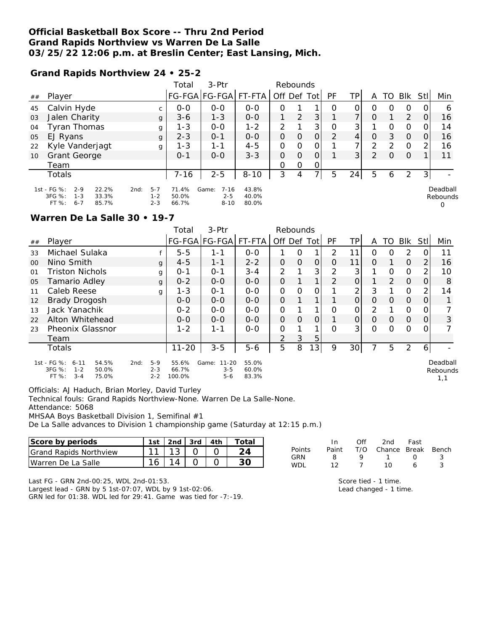### **Official Basketball Box Score -- Thru 2nd Period Grand Rapids Northview vs Warren De La Salle 03/25/22 12:06 p.m. at Breslin Center; East Lansing, Mich.**

#### **Grand Rapids Northview 24 • 25-2**

|    |                                                                                              |                                       | Total                   | 3-Ptr                                    |                         | Rebounds      |          |               |               |                          |               |          |          |                |                           |
|----|----------------------------------------------------------------------------------------------|---------------------------------------|-------------------------|------------------------------------------|-------------------------|---------------|----------|---------------|---------------|--------------------------|---------------|----------|----------|----------------|---------------------------|
| ## | Player                                                                                       |                                       |                         | FG-FGA FG-FGA  FT-FTA                    |                         | Off Def Tot   |          |               | <b>PF</b>     | TPI                      | A             | TO.      | Blk      | -StII          | Min                       |
| 45 | Calvin Hyde                                                                                  |                                       | $0 - 0$                 | $0 - 0$                                  | $O - O$                 | O             |          |               | Ο             | 0                        | Ο             | O        | O        | $\overline{O}$ | 6                         |
| 03 | Jalen Charity                                                                                | g                                     | $3-6$                   | $1 - 3$                                  | $0 - 0$                 |               | 2        | 3             |               | $\overline{\phantom{a}}$ | Ο             |          | 2        | 0              | 16                        |
| 04 | Tyran Thomas                                                                                 | g                                     | $1 - 3$                 | $0 - 0$                                  | $1 - 2$                 | 2             |          | 3             | 0             | 3 <sup>1</sup>           |               | 0        | 0        | 0              | 14                        |
| 05 | EJ Ryans                                                                                     | g                                     | $2 - 3$                 | $O - 1$                                  | $0 - 0$                 | $\Omega$      | $\Omega$ | $\mathcal{O}$ | $\mathcal{P}$ | 4                        | 0             | 3        | $\Omega$ | 0              | 16                        |
| 22 | Kyle Vanderjagt                                                                              | g                                     | $1 - 3$                 | $1 - 1$                                  | $4 - 5$                 | 0             | $\Omega$ | 0             |               | $\overline{7}$           | $\mathcal{D}$ | 2        | $\circ$  | 2              | 16                        |
| 10 | <b>Grant George</b>                                                                          |                                       | $0 - 1$                 | $0 - 0$                                  | $3 - 3$                 | $\mathcal{O}$ | $\Omega$ | 0             |               | 3 <sup>1</sup>           | $\mathcal{P}$ | $\Omega$ | $\Omega$ |                | 11                        |
|    | Team                                                                                         |                                       |                         |                                          |                         | O             | 0        | 0             |               |                          |               |          |          |                |                           |
|    | Totals                                                                                       |                                       | 7-16                    | $2 - 5$                                  | $8 - 10$                | 3             | 4        | 7             | 5             | 24                       | 5             | 6        | 2        | 31             |                           |
|    | 1st - FG %:<br>$2 - 9$<br>22.2%<br>$3FG \%$<br>$1 - 3$<br>33.3%<br>$6 - 7$<br>FT %:<br>85.7% | $5 - 7$<br>2nd:<br>$1 - 2$<br>$2 - 3$ | 71.4%<br>50.0%<br>66.7% | $7 - 16$<br>Game:<br>$2 - 5$<br>$8 - 10$ | 43.8%<br>40.0%<br>80.0% |               |          |               |               |                          |               |          |          |                | Deadball<br>Rebounds<br>0 |

#### **Warren De La Salle 30 • 19-7**

|         |                                                                                      |                                     | 3-Ptr<br>Total<br>Rebounds |                                          |                         |               |               |                 |               |                 |               |               |                |                |                             |
|---------|--------------------------------------------------------------------------------------|-------------------------------------|----------------------------|------------------------------------------|-------------------------|---------------|---------------|-----------------|---------------|-----------------|---------------|---------------|----------------|----------------|-----------------------------|
| ##      | Player                                                                               |                                     |                            | FG-FGA FG-FGA                            | FT-FTA                  | Off Def Tot   |               |                 | <b>PF</b>     | TP              | A             | TO            | <b>BIK</b>     | Stll           | Min                         |
| 33      | Michael Sulaka                                                                       |                                     | $5 - 5$                    | $1 - 1$                                  | $0 - 0$                 |               | 0             |                 | $\mathcal{P}$ | 11              | Ο             | Ο             | 2              | 0              | 11                          |
| $00 \,$ | Nino Smith                                                                           | g                                   | $4 - 5$                    | $1 - 1$                                  | $2 - 2$                 | $\Omega$      | $\mathbf{O}$  | 0               | $\Omega$      | 11              | 0             |               | $\Omega$       | $\overline{2}$ | 16                          |
| 01      | <b>Triston Nichols</b>                                                               | g                                   | $0 - 1$                    | $O - 1$                                  | $3 - 4$                 | 2             |               | 3               | 2             | 3               |               | 0             | 0              | 2.             | 10                          |
| 05      | Tamario Adley                                                                        | g                                   | $0 - 2$                    | $0 - 0$                                  | $0 - 0$                 | $\mathcal{O}$ |               |                 | $\mathcal{P}$ | $\overline{O}$  |               | $\mathcal{P}$ | $\overline{0}$ | 0              | 8                           |
| 11      | Caleb Reese                                                                          | g                                   | $1 - 3$                    | $O - 1$                                  | $O-O$                   | 0             | $\Omega$      | 0               |               | 2               | 3             |               | 0              | 2              | 14                          |
| 12      | <b>Brady Drogosh</b>                                                                 |                                     | $0 - 0$                    | $0 - 0$                                  | $0-0$                   | $\mathcal{O}$ |               |                 |               | $\Omega$        | $\mathcal{O}$ | $\Omega$      | $\Omega$       | 0              |                             |
| 13      | Jack Yanachik                                                                        |                                     | $0 - 2$                    | $0 - 0$                                  | $O-O$                   | 0             |               |                 | 0             | $\Omega$        | $\mathcal{P}$ |               | $\Omega$       | 0              |                             |
| 22      | Alton Whitehead                                                                      |                                     | $O - O$                    | $0-0$                                    | $0-0$                   | $\mathcal{O}$ | $\mathcal{O}$ | $\overline{O}$  |               | $\mathcal{O}$   | $\Omega$      | $\Omega$      | $\mathbf 0$    | $\overline{O}$ | 3                           |
| 23      | <b>Pheonix Glassnor</b>                                                              |                                     | $1 - 2$                    | $1 - 1$                                  | $O-O$                   | $\Omega$      |               |                 | $\Omega$      | 3               | O             | 0             | $\Omega$       | 0              |                             |
|         | Team                                                                                 |                                     |                            |                                          |                         | $\mathcal{P}$ | 3             | 5               |               |                 |               |               |                |                |                             |
|         | Totals                                                                               |                                     | $11 - 20$                  | $3 - 5$                                  | $5-6$                   | 5             | 8             | 13 <sup>1</sup> | 9             | 30 <sup>1</sup> | 7             | 5             | 2              | 6 I            |                             |
|         | 1st - FG %: 6-11<br>54.5%<br>3FG %:<br>$1 - 2$<br>50.0%<br>$3 - 4$<br>FT %:<br>75.0% | $5-9$<br>2nd:<br>$2 - 3$<br>$2 - 2$ | 55.6%<br>66.7%<br>100.0%   | $11 - 20$<br>Game:<br>$3 - 5$<br>$5 - 6$ | 55.0%<br>60.0%<br>83.3% |               |               |                 |               |                 |               |               |                |                | Deadball<br>Rebounds<br>1.1 |

Officials: AJ Haduch, Brian Morley, David Turley

Technical fouls: Grand Rapids Northview-None. Warren De La Salle-None.

Attendance: 5068

MHSAA Boys Basketball Division 1, Semifinal #1

De La Salle advances to Division 1 championship game (Saturday at 12:15 p.m.)

| Score by periods                | 1st    | 2nd | 3rd | 4th | $\tau$ otal |            |       | Ofi | 2nd    | Fast  |       |
|---------------------------------|--------|-----|-----|-----|-------------|------------|-------|-----|--------|-------|-------|
| <b>S</b> Grand Rapids Northview | $\sim$ |     |     |     |             | Points     | Paint | T/O | Chance | Break | Bench |
| Warren De La Salle              | 16     |     |     |     | $\cap \cap$ | GRN<br>WDL |       |     |        |       |       |

Last FG - GRN 2nd-00:25, WDL 2nd-01:53.

Largest lead - GRN by 5 1st-07:07, WDL by 9 1st-02:06. GRN led for 01:38. WDL led for 29:41. Game was tied for -7:-19. Score tied - 1 time. Lead changed - 1 time.